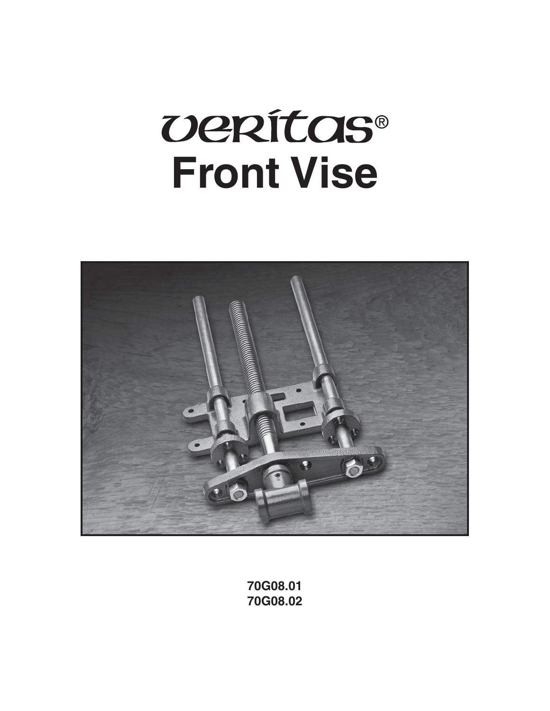# **UERÍTAS® Front Vise**



**70G08.01 70G08.02**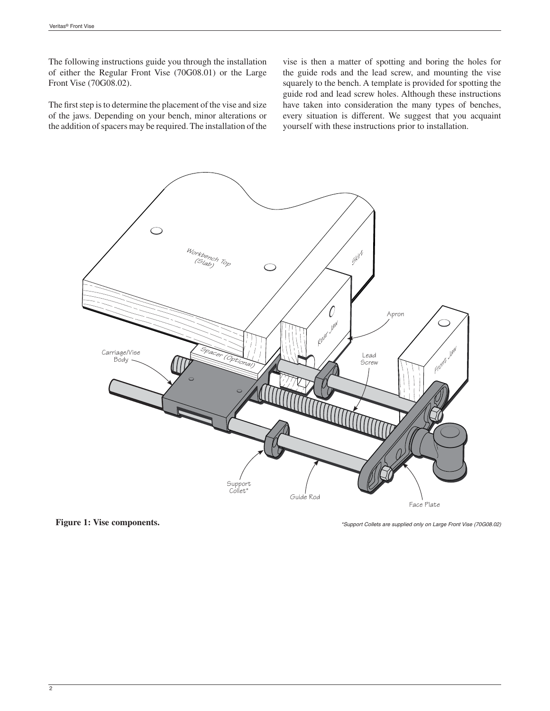The following instructions guide you through the installation of either the Regular Front Vise (70G08.01) or the Large Front Vise (70G08.02).

The first step is to determine the placement of the vise and size of the jaws. Depending on your bench, minor alterations or the addition of spacers may be required. The installation of the vise is then a matter of spotting and boring the holes for the guide rods and the lead screw, and mounting the vise squarely to the bench. A template is provided for spotting the guide rod and lead screw holes. Although these instructions have taken into consideration the many types of benches, every situation is different. We suggest that you acquaint yourself with these instructions prior to installation.



**Figure 1: Vise components.**

*\*Support Collets are supplied only on Large Front Vise (70G08.02)*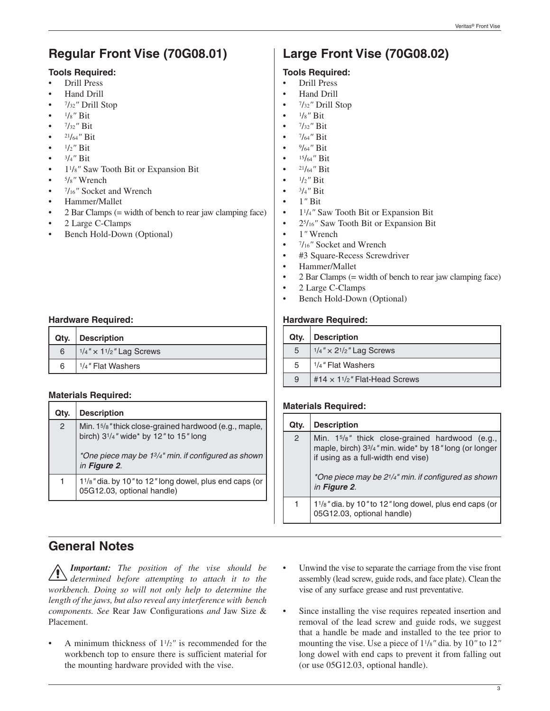# **Regular Front Vise (70G08.01)**

## **Tools Required:**

- Drill Press
- Hand Drill
- 7/32*"* Drill Stop
- 1/8*"* Bit
- 7/32*"* Bit
- 21/64*"* Bit
- 1/2*"* Bit
- 3/4*"* Bit
- 11/8*"* Saw Tooth Bit or Expansion Bit
- 5/8*"* Wrench
- 7/16*"* Socket and Wrench
- Hammer/Mallet
- 2 Bar Clamps (= width of bench to rear jaw clamping face)
- 2 Large C-Clamps
- Bench Hold-Down (Optional)

## **Hardware Required:**

|   | Qty.   Description                             |
|---|------------------------------------------------|
| 6 | $1/4$ " $\times$ 11/ <sub>2</sub> " Lag Screws |
| 6 | <sup>1</sup> / <sub>4</sub> " Flat Washers     |

## **Materials Required:**

| Qty. | <b>Description</b>                                                                                                         |
|------|----------------------------------------------------------------------------------------------------------------------------|
| 2    | Min. 15/8" thick close-grained hardwood (e.g., maple,  <br>birch) 3 <sup>1</sup> / <sub>4</sub> " wide* by 12" to 15" long |
|      | *One piece may be 13/4" min. if configured as shown<br>in Figure 2.                                                        |
| 1    | 1 <sup>1</sup> / <sub>8</sub> "dia. by 10" to 12" long dowel, plus end caps (or<br>05G12.03, optional handle)              |

# **General Notes**

*Important: The position of the vise should be determined before attempting to attach it to the workbench. Doing so will not only help to determine the length of the jaws, but also reveal any interference with bench components. See Rear Jaw Configurations and Jaw Size &* Placement.

• A minimum thickness of 11/2*"* is recommended for the workbench top to ensure there is sufficient material for the mounting hardware provided with the vise.

# **Large Front Vise (70G08.02)**

# **Tools Required:**

- Drill Press
- Hand Drill
- 7/32*"* Drill Stop
- 1/8*"* Bit
- 7/32*"* Bit
- 7/64*"* Bit
- 9/64*"* Bit
- 15/64*"* Bit
- 21/64*"* Bit
- $1/2$ <sup>"</sup> Bit
- 3/4*"* Bit
- 1*"* Bit
- 11/4*"* Saw Tooth Bit or Expansion Bit
- 25/16*"* Saw Tooth Bit or Expansion Bit
- 1*"* Wrench
- 7/16*"* Socket and Wrench
- #3 Square-Recess Screwdriver
- Hammer/Mallet
- 2 Bar Clamps (= width of bench to rear jaw clamping face)
- 2 Large C-Clamps
- Bench Hold-Down (Optional)

## **Hardware Required:**

| Qty. | <b>Description</b>                  |
|------|-------------------------------------|
| 5    | $1/4'' \times 2^{1/2}$ Lag Screws   |
| 5    | 1/4" Flat Washers                   |
| 9    | #14 $\times$ 11/2" Flat-Head Screws |

## **Materials Required:**

| Qty.           | <b>Description</b>                                                                                                                                                                                                                             |
|----------------|------------------------------------------------------------------------------------------------------------------------------------------------------------------------------------------------------------------------------------------------|
| $\overline{2}$ | Min. 15/8" thick close-grained hardwood (e.g.,<br>maple, birch) 33/4" min. wide* by 18" long (or longer<br>if using as a full-width end vise)<br>*One piece may be 2 <sup>1</sup> / <sub>4</sub> " min. if configured as shown<br>in Figure 2. |
| 1              | 1 <sup>1</sup> / <sub>8</sub> " dia. by 10" to 12" long dowel, plus end caps (or 05G12.03, optional handle)                                                                                                                                    |

- Unwind the vise to separate the carriage from the vise front assembly (lead screw, guide rods, and face plate). Clean the vise of any surface grease and rust preventative.
- Since installing the vise requires repeated insertion and removal of the lead screw and guide rods, we suggest that a handle be made and installed to the tee prior to mounting the vise. Use a piece of 11/8*"* dia. by 10*"* to 12*"* long dowel with end caps to prevent it from falling out (or use 05G12.03, optional handle).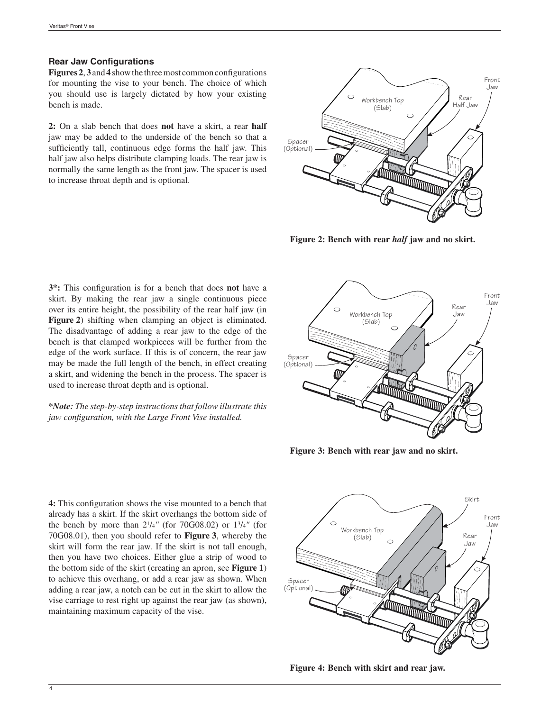#### **Rear Jaw Configurations**

Figures 2, 3 and 4 show the three most common configurations for mounting the vise to your bench. The choice of which you should use is largely dictated by how your existing bench is made.

**2:** On a slab bench that does **not** have a skirt, a rear **half** jaw may be added to the underside of the bench so that a sufficiently tall, continuous edge forms the half jaw. This half jaw also helps distribute clamping loads. The rear jaw is normally the same length as the front jaw. The spacer is used to increase throat depth and is optional.



**Figure 2: Bench with rear** *half* **jaw and no skirt.**

**3\*:** This configuration is for a bench that does **not** have a skirt. By making the rear jaw a single continuous piece over its entire height, the possibility of the rear half jaw (in **Figure 2**) shifting when clamping an object is eliminated. The disadvantage of adding a rear jaw to the edge of the bench is that clamped workpieces will be further from the edge of the work surface. If this is of concern, the rear jaw may be made the full length of the bench, in effect creating a skirt, and widening the bench in the process. The spacer is used to increase throat depth and is optional.

*\*Note: The step-by-step instructions that follow illustrate this jaw configuration, with the Large Front Vise installed.* 



**Figure 3: Bench with rear jaw and no skirt.**

**4:** This configuration shows the vise mounted to a bench that already has a skirt. If the skirt overhangs the bottom side of the bench by more than 21/4*"* (for 70G08.02) or 13/4*"* (for 70G08.01), then you should refer to **Figure 3**, whereby the skirt will form the rear jaw. If the skirt is not tall enough, then you have two choices. Either glue a strip of wood to the bottom side of the skirt (creating an apron, see **Figure 1**) to achieve this overhang, or add a rear jaw as shown. When adding a rear jaw, a notch can be cut in the skirt to allow the vise carriage to rest right up against the rear jaw (as shown), maintaining maximum capacity of the vise.



**Figure 4: Bench with skirt and rear jaw.**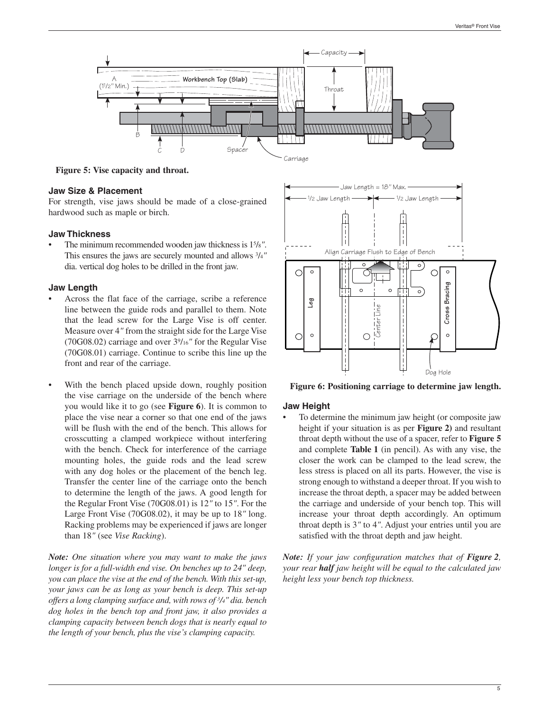

**Figure 5: Vise capacity and throat.**

#### **Jaw Size & Placement**

For strength, vise jaws should be made of a close-grained hardwood such as maple or birch.

#### **Jaw Thickness**

• The minimum recommended wooden jaw thickness is 15/8*"*. This ensures the jaws are securely mounted and allows 3/4*"* dia. vertical dog holes to be drilled in the front jaw.

#### **Jaw Length**

- Across the flat face of the carriage, scribe a reference line between the guide rods and parallel to them. Note that the lead screw for the Large Vise is off center. Measure over 4*"* from the straight side for the Large Vise (70G08.02) carriage and over 39/16*"* for the Regular Vise (70G08.01) carriage. Continue to scribe this line up the front and rear of the carriage.
- With the bench placed upside down, roughly position the vise carriage on the underside of the bench where you would like it to go (see **Figure 6**). It is common to place the vise near a corner so that one end of the jaws will be flush with the end of the bench. This allows for crosscutting a clamped workpiece without interfering with the bench. Check for interference of the carriage mounting holes, the guide rods and the lead screw with any dog holes or the placement of the bench leg. Transfer the center line of the carriage onto the bench to determine the length of the jaws. A good length for the Regular Front Vise (70G08.01) is 12*"* to 15*"*. For the Large Front Vise (70G08.02), it may be up to 18*"* long. Racking problems may be experienced if jaws are longer than 18*"* (see *Vise Racking*).

*Note: One situation where you may want to make the jaws longer is for a full-width end vise. On benches up to 24" deep, you can place the vise at the end of the bench. With this set-up, your jaws can be as long as your bench is deep. This set-up offers a long clamping surface and, with rows of 3/4" dia. bench dog holes in the bench top and front jaw, it also provides a clamping capacity between bench dogs that is nearly equal to the length of your bench, plus the vise's clamping capacity.* 



**Figure 6: Positioning carriage to determine jaw length.**

#### **Jaw Height**

• To determine the minimum jaw height (or composite jaw height if your situation is as per **Figure 2)** and resultant throat depth without the use of a spacer, refer to **Figure 5** and complete **Table 1** (in pencil). As with any vise, the closer the work can be clamped to the lead screw, the less stress is placed on all its parts. However, the vise is strong enough to withstand a deeper throat. If you wish to increase the throat depth, a spacer may be added between the carriage and underside of your bench top. This will increase your throat depth accordingly. An optimum throat depth is 3*"* to 4*"*. Adjust your entries until you are satisfied with the throat depth and jaw height.

*Note:* If your jaw configuration matches that of *Figure 2*, *your rear half jaw height will be equal to the calculated jaw height less your bench top thickness.*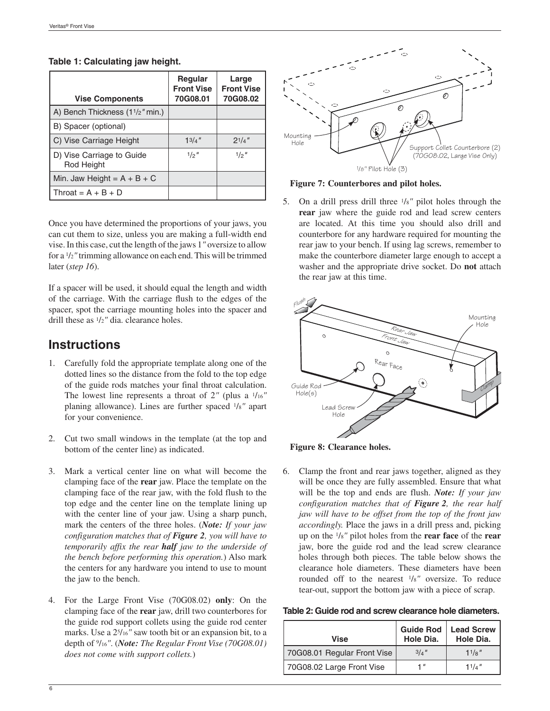| <b>Vise Components</b>                                    | <b>Regular</b><br><b>Front Vise</b><br>70G08.01 | Large<br><b>Front Vise</b><br>70G08.02 |
|-----------------------------------------------------------|-------------------------------------------------|----------------------------------------|
| A) Bench Thickness (1 <sup>1</sup> / <sub>2</sub> " min.) |                                                 |                                        |
| B) Spacer (optional)                                      |                                                 |                                        |
| C) Vise Carriage Height                                   | $1^{3}/4$ "                                     | $2^{1/4}$                              |
| D) Vise Carriage to Guide<br>Rod Height                   | 1/2''                                           | 1/2''                                  |
| Min. Jaw Height = $A + B + C$                             |                                                 |                                        |
| Throat = $A + B + D$                                      |                                                 |                                        |

#### **Table 1: Calculating jaw height.**

Once you have determined the proportions of your jaws, you can cut them to size, unless you are making a full-width end vise. In this case, cut the length of the jaws 1*"* oversize to allow for a 1/2*"* trimming allowance on each end. This will be trimmed later (*step 16*).

If a spacer will be used, it should equal the length and width of the carriage. With the carriage flush to the edges of the spacer, spot the carriage mounting holes into the spacer and drill these as 1/2*"* dia. clearance holes.

# **Instructions**

- 1. Carefully fold the appropriate template along one of the dotted lines so the distance from the fold to the top edge of the guide rods matches your final throat calculation. The lowest line represents a throat of 2*"* (plus a 1/16*"* planing allowance). Lines are further spaced 1/8*"* apart for your convenience.
- 2. Cut two small windows in the template (at the top and bottom of the center line) as indicated.
- 3. Mark a vertical center line on what will become the clamping face of the **rear** jaw. Place the template on the clamping face of the rear jaw, with the fold flush to the top edge and the center line on the template lining up with the center line of your jaw. Using a sharp punch, mark the centers of the three holes. (*Note: If your jaw configuration matches that of Figure 2, you will have to temporarily affix the rear half jaw to the underside of the bench before performing this operation.*) Also mark the centers for any hardware you intend to use to mount the jaw to the bench.
- 4. For the Large Front Vise (70G08.02) **only**: On the clamping face of the **rear** jaw, drill two counterbores for the guide rod support collets using the guide rod center marks. Use a 25/16*"* saw tooth bit or an expansion bit, to a depth of 9/16*"*. (*Note: The Regular Front Vise (70G08.01) does not come with support collets.*)



#### **Figure 7: Counterbores and pilot holes.**

5. On a drill press drill three 1/8*"* pilot holes through the **rear** jaw where the guide rod and lead screw centers are located. At this time you should also drill and counterbore for any hardware required for mounting the rear jaw to your bench. If using lag screws, remember to make the counterbore diameter large enough to accept a washer and the appropriate drive socket. Do **not** attach the rear jaw at this time.



**Figure 8: Clearance holes.**

6. Clamp the front and rear jaws together, aligned as they will be once they are fully assembled. Ensure that what will be the top and ends are flush. *Note: If your jaw configuration matches that of Figure 2, the rear half jaw will have to be offset from the top of the front jaw accordingly.* Place the jaws in a drill press and, picking up on the 1/8*"* pilot holes from the **rear face** of the **rear** jaw, bore the guide rod and the lead screw clearance holes through both pieces. The table below shows the clearance hole diameters. These diameters have been rounded off to the nearest 1/8*"* oversize. To reduce tear-out, support the bottom jaw with a piece of scrap.

| Table 2: Guide rod and screw clearance hole diameters. |  |  |
|--------------------------------------------------------|--|--|
|--------------------------------------------------------|--|--|

| Vise                        | <b>Guide Rod</b><br>Hole Dia. | <b>Lead Screw</b><br>Hole Dia. |
|-----------------------------|-------------------------------|--------------------------------|
| 70G08.01 Regular Front Vise | 3/a''                         | $11\frac{g}{g}$                |
| 70G08.02 Large Front Vise   | 1″                            | 11/a''                         |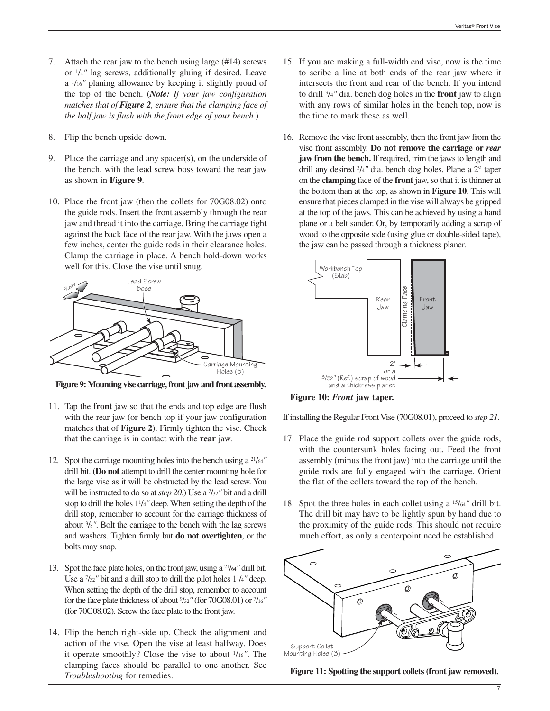- 7. Attach the rear jaw to the bench using large (#14) screws or 1/4*"* lag screws, additionally gluing if desired. Leave a 1/16*"* planing allowance by keeping it slightly proud of the top of the bench. (*Note: If your jaw configuration matches that of Figure 2, ensure that the clamping face of the half jaw is flush with the front edge of your bench.*)
- 8. Flip the bench upside down.
- 9. Place the carriage and any spacer(s), on the underside of the bench, with the lead screw boss toward the rear jaw as shown in **Figure 9**.
- 10. Place the front jaw (then the collets for 70G08.02) onto the guide rods. Insert the front assembly through the rear jaw and thread it into the carriage. Bring the carriage tight against the back face of the rear jaw. With the jaws open a few inches, center the guide rods in their clearance holes. Clamp the carriage in place. A bench hold-down works well for this. Close the vise until snug.



**Figure 9: Mounting vise carriage, front jaw and front assembly.**

- 11. Tap the **front** jaw so that the ends and top edge are flush with the rear jaw (or bench top if your jaw configuration matches that of **Figure 2**). Firmly tighten the vise. Check that the carriage is in contact with the **rear** jaw.
- 12. Spot the carriage mounting holes into the bench using a 21/64*"* drill bit. (**Do not** attempt to drill the center mounting hole for the large vise as it will be obstructed by the lead screw. You will be instructed to do so at *step 20*.) Use a 7/32*"* bit and a drill stop to drill the holes 11/4*"* deep. When setting the depth of the drill stop, remember to account for the carriage thickness of about 3/8*"*. Bolt the carriage to the bench with the lag screws and washers. Tighten firmly but **do not overtighten**, or the bolts may snap.
- 13. Spot the face plate holes, on the front jaw, using a 21/64*"* drill bit. Use a 7/32*"* bit and a drill stop to drill the pilot holes 11/4*"* deep. When setting the depth of the drill stop, remember to account for the face plate thickness of about 9/32*"* (for 70G08.01) or 7/16*"* (for 70G08.02). Screw the face plate to the front jaw.
- 14. Flip the bench right-side up. Check the alignment and action of the vise. Open the vise at least halfway. Does it operate smoothly? Close the vise to about 1/16*"*. The clamping faces should be parallel to one another. See *Troubleshooting* for remedies.
- 15. If you are making a full-width end vise, now is the time to scribe a line at both ends of the rear jaw where it intersects the front and rear of the bench. If you intend to drill 3/4*"* dia. bench dog holes in the **front** jaw to align with any rows of similar holes in the bench top, now is the time to mark these as well.
- 16. Remove the vise front assembly, then the front jaw from the vise front assembly. **Do not remove the carriage or** *rear* **jaw from the bench.** If required, trim the jaws to length and drill any desired 3/4*"* dia. bench dog holes. Plane a 2° taper on the **clamping** face of the **front** jaw, so that it is thinner at the bottom than at the top, as shown in **Figure 10**. This will ensure that pieces clamped in the vise will always be gripped at the top of the jaws. This can be achieved by using a hand plane or a belt sander. Or, by temporarily adding a scrap of wood to the opposite side (using glue or double-sided tape), the jaw can be passed through a thickness planer.



**Figure 10:** *Front* **jaw taper.**

If installing the Regular Front Vise (70G08.01), proceed to *step 21*.

- 17. Place the guide rod support collets over the guide rods, with the countersunk holes facing out. Feed the front assembly (minus the front jaw) into the carriage until the guide rods are fully engaged with the carriage. Orient the flat of the collets toward the top of the bench.
- 18. Spot the three holes in each collet using a 15/64*"* drill bit. The drill bit may have to be lightly spun by hand due to the proximity of the guide rods. This should not require much effort, as only a centerpoint need be established.



**Figure 11: Spotting the support collets (front jaw removed).**